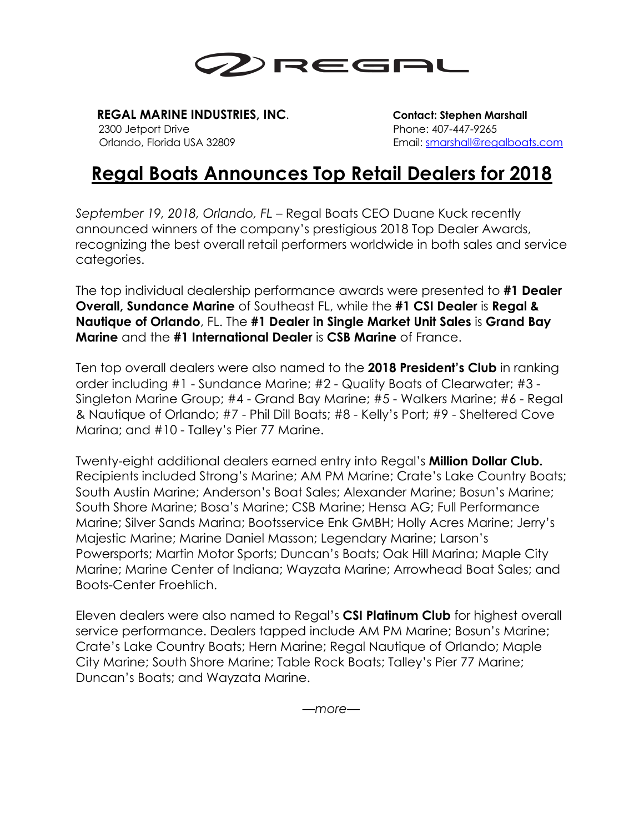

 **REGAL MARINE INDUSTRIES, INC**. **Contact: Stephen Marshall** 2300 Jetport Drive Phone: 407-447-9265

Orlando, Florida USA 32809 Email: smarshall@regalboats.com

## **Regal Boats Announces Top Retail Dealers for 2018**

*September 19, 2018, Orlando, FL* – Regal Boats CEO Duane Kuck recently announced winners of the company's prestigious 2018 Top Dealer Awards, recognizing the best overall retail performers worldwide in both sales and service categories.

The top individual dealership performance awards were presented to **#1 Dealer Overall, Sundance Marine** of Southeast FL, while the **#1 CSI Dealer** is **Regal & Nautique of Orlando**, FL. The **#1 Dealer in Single Market Unit Sales** is **Grand Bay Marine** and the **#1 International Dealer** is **CSB Marine** of France.

Ten top overall dealers were also named to the **2018 President's Club** in ranking order including #1 - Sundance Marine; #2 - Quality Boats of Clearwater; #3 - Singleton Marine Group; #4 - Grand Bay Marine; #5 - Walkers Marine; #6 - Regal & Nautique of Orlando; #7 - Phil Dill Boats; #8 - Kelly's Port; #9 - Sheltered Cove Marina; and #10 - Talley's Pier 77 Marine.

Twenty-eight additional dealers earned entry into Regal's **Million Dollar Club.**  Recipients included Strong's Marine; AM PM Marine; Crate's Lake Country Boats; South Austin Marine; Anderson's Boat Sales; Alexander Marine; Bosun's Marine; South Shore Marine; Bosa's Marine; CSB Marine; Hensa AG; Full Performance Marine; Silver Sands Marina; Bootsservice Enk GMBH; Holly Acres Marine; Jerry's Majestic Marine; Marine Daniel Masson; Legendary Marine; Larson's Powersports; Martin Motor Sports; Duncan's Boats; Oak Hill Marina; Maple City Marine; Marine Center of Indiana; Wayzata Marine; Arrowhead Boat Sales; and Boots-Center Froehlich.

Eleven dealers were also named to Regal's **CSI Platinum Club** for highest overall service performance. Dealers tapped include AM PM Marine; Bosun's Marine; Crate's Lake Country Boats; Hern Marine; Regal Nautique of Orlando; Maple City Marine; South Shore Marine; Table Rock Boats; Talley's Pier 77 Marine; Duncan's Boats; and Wayzata Marine.

*—more—*